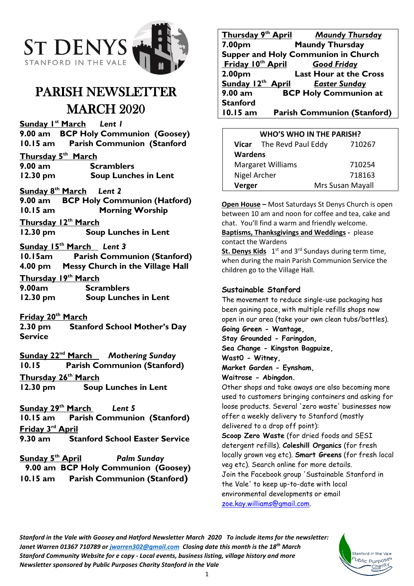

# PARISH NEWSLETTER MARCH 2020

**Sunday 1 st March** *Lent 1* **9.00 am BCP Holy Communion (Goosey) 10.15 am Parish Communion (Stanford**

**Thursday 5 th March 9.00 am Scramblers 12.30 pm Soup Lunches in Lent**

#### **Sunday 8 th March** *Lent 2*

**9.00 am BCP Holy Communion (Hatford) 10.15 am Morning Worship Thursday 12 th March**

**12.30 pm Soup Lunches in Lent**

#### **Sunday 15 th March** *Lent 3*

**10.15am Parish Communion (Stanford) 4.00 pm Messy Church in the Village Hall**

**Thursday 19th March**

**9.00am Scramblers 12.30 pm Soup Lunches in Lent**

### **Friday 20th March**

**2.30 pm Stanford School Mother's Day Service**

**Sunday 22 nd March** *Mothering Sunday* **10.15 Parish Communion (Stanford) Thursday 26 th March** 

**12.30 pm Soup Lunches in Lent**

**Sunday 29th March** *Lent 5* **10.15 am Parish Communion (Stanford)**

**Friday 3 rd April**

**9.30 am Stanford School Easter Service**

**Sunday 5<sup>th</sup> April Palm Sunday 9.00 am BCP Holy Communion (Goosey) 10.15 am Parish Communion (Stanford)**

|                                            | Thursday 9th April Maundy Thursday |  |  |
|--------------------------------------------|------------------------------------|--|--|
| 7.00pm                                     | <b>Maundy Thursday</b>             |  |  |
| <b>Supper and Holy Communion in Church</b> |                                    |  |  |
| Friday 10 <sup>th</sup> April              | <b>Good Friday</b>                 |  |  |
| 2.00 <sub>pm</sub>                         | <b>Last Hour at the Cross</b>      |  |  |
| Sunday 12th April                          | <b>Easter Sunday</b>               |  |  |
| $9.00 a$ m                                 | <b>BCP Holy Communion at</b>       |  |  |
| <b>Stanford</b>                            |                                    |  |  |
| 10.15 am                                   | <b>Parish Communion (Stanford)</b> |  |  |

| <b>WHO'S WHO IN THE PARISH?</b> |                          |                  |
|---------------------------------|--------------------------|------------------|
|                                 | Vicar The Revd Paul Eddy | 710267           |
| <b>Wardens</b>                  |                          |                  |
| <b>Margaret Williams</b>        |                          | 710254           |
| Nigel Archer                    |                          | 718163           |
| Verger                          |                          | Mrs Susan Mayall |

**Open House –** Most Saturdays St Denys Church is open between 10 am and noon for coffee and tea, cake and chat. You'll find a warm and friendly welcome.

**Baptisms, Thanksgivings and Weddings -** please contact the Wardens

**St. Denys Kids** 1<sup>st</sup> and 3<sup>rd</sup> Sundays during term time, when during the main Parish Communion Service the children go to the Village Hall.

### **Sustainable Stanford**

The movement to reduce single-use packaging has been gaining pace, with multiple refills shops now open in our area (take your own clean tubs/bottles).

# **Going Green - Wantage,**

**Stay Grounded - Faringdon,** 

**Sea Change - Kingston Bagpuize,** 

**Wast0 - Witney,** 

**Market Garden - Eynsham,** 

**Waitrose - Abingdon.** 

Other shops and take aways are also becoming more used to customers bringing containers and asking for loose products. Several 'zero waste' businesses now offer a weekly delivery to Stanford (mostly delivered to a drop off point):

**Scoop Zero Waste** (for dried foods and SESI detergent refills). **Coleshill Organics** (for fresh locally grown veg etc). **Smart Greens** (for fresh local veg etc). Search online for more details. Join the Facebook group 'Sustainable Stanford in the Vale' to keep up-to-date with local environmental developments or email [zoe.kay.williams@gmail.com.](mailto:zoe.kay.williams@gmail.com)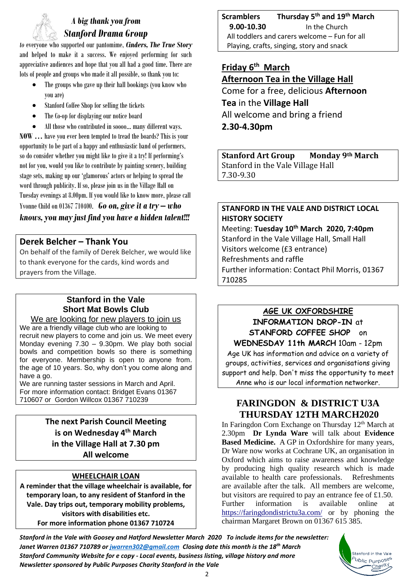# *A big thank you from Stanford Drama Group*

*to* everyone who supported our pantomime, *Cinders, The True Story* and helped to make it a success. We enjoyed performing for such appreciative audiences and hope that you all had a good time. There are lots of people and groups who made it all possible, so thank you to:

- The groups who gave up their hall bookings (you know who you are)
- Stanford Coffee Shop for selling the tickets
- The Co-op for displaying our notice board
- All those who contributed in soooo... many different ways.

**NOW …** have you ever been tempted to tread the boards? This is your opportunity to be part of a happy and enthusiastic band of performers, so do consider whether you might like to give it a try! If performing's not for you, would you like to contribute by painting scenery, building stage sets, making up our 'glamorous' actors or helping to spread the word through publicity. If so, please join us in the Village Hall on Tuesday evenings at 8.00pm. If you would like to know more, please call Yvonne Child on 01367 710400. *Go on, give it a try – who knows,you may just find you have a hidden talent!!!*

# **Derek Belcher – Thank You**

On behalf of the family of Derek Belcher, we would like to thank everyone for the cards, kind words and prayers from the Village.

# **Stanford in the Vale Short Mat Bowls Club**

We are looking for new players to join us We are a friendly village club who are looking to recruit new players to come and join us. We meet every Monday evening 7.30 – 9.30pm. We play both social bowls and competition bowls so there is something for everyone. Membership is open to anyone from. the age of 10 years. So, why don't you come along and have a go.

We are running taster sessions in March and April. For more information contact: Bridget Evans 01367 710607 or Gordon Willcox 01367 710239

### **The next Parish Council Meeting is on Wednesday 4 th March in the Village Hall at 7.30 pm All welcome**

### **WHEELCHAIR LOAN**

**A reminder that the village wheelchair is available, for temporary loan, to any resident of Stanford in the Vale. Day trips out, temporary mobility problems, visitors with disabilities etc. For more information phone 01367 710724**

**Scramblers Thursday 5th and 19th March 9.00-10.30** In the Church All toddlers and carers welcome – Fun for all Playing, crafts, singing, story and snack

## **Friday 6 th March Afternoon Tea in the Village Hall** Come for a free, delicious **Afternoon**

**Tea** in the **Village Hall** All welcome and bring a friend **2.30-4.30pm**

**Stanford Art Group Monday 9th March** Stanford in the Vale Village Hall 7.30-9.30

### **STANFORD IN THE VALE AND DISTRICT LOCAL HISTORY SOCIETY**

Meeting: **Tuesday 10 th March 2020, 7:40pm** Stanford in the Vale Village Hall, Small Hall Visitors welcome (£3 entrance) Refreshments and raffle Further information: Contact Phil Morris, 01367 710285

# **AGE UK OXFORDSHIRE**

**INFORMATION DROP-IN** at **STANFORD COFFEE SHOP** on **WEDNESDAY 11th MARCH** 10am - 12pm Age UK has information and advice on a variety of groups, activities, services and organisations giving support and help. Don't miss the opportunity to meet Anne who is our local information networker.

# **FARINGDON & DISTRICT U3A THURSDAY 12TH MARCH2020**

In Faringdon Corn Exchange on Thursday 12<sup>th</sup> March at 2.30pm **Dr Lynda Ware** will talk about **Evidence Based Medicine.** A GP in Oxfordshire for many years, Dr Ware now works at Cochrane UK, an organisation in Oxford which aims to raise awareness and knowledge by producing high quality research which is made available to health care professionals. Refreshments are available after the talk. All members are welcome, but visitors are required to pay an entrance fee of £1.50. Further information is available online at <https://faringdondistrictu3a.com/> or by phoning the chairman Margaret Brown on 01367 615 385.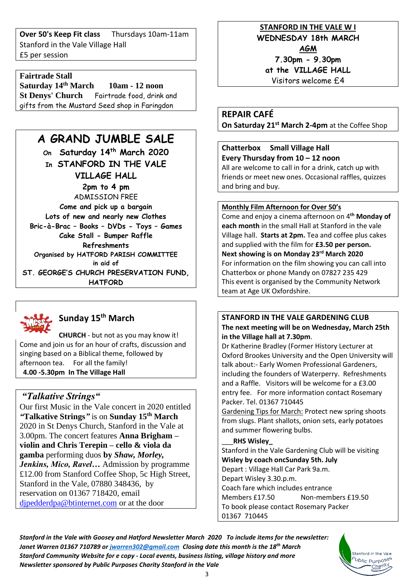**Over 50's Keep Fit class** Thursdays 10am-11am Stanford in the Vale Village Hall £5 per session

## **Fairtrade Stall**

**Saturday 14th March 10am - 12 noon St Denys' Church** Fairtrade food, drink and gifts from the Mustard Seed shop in Faringdon

# **A GRAND JUMBLE SALE**

**On Saturday 14th March 2020 In STANFORD IN THE VALE VILLAGE HALL 2pm to 4 pm** ADMISSION FREE **Come and pick up a bargain Lots of new and nearly new Clothes Bric-à-Brac – Books – DVDs - Toys – Games Cake Stall - Bumper Raffle Refreshments Organised by HATFORD PARISH COMMITTEE in aid of ST. GEORGE'S CHURCH PRESERVATION FUND, HATFORD** 



# **Sunday 15th March**

**CHURCH** - but not as you may know it! Come and join us for an hour of crafts, discussion and singing based on a Biblical theme, followed by afternoon tea. For all the family! **4.00 -5.30pm In The Village Hall**

### *"Talkative Strings"*

Our first Music in the Vale concert in 2020 entitled *"***Talkative Strings***"* is on **Sunday 15th March** 2020 in St Denys Church, Stanford in the Vale at 3.00pm. The concert features **Anna Brigham – violin and Chris Terepin – cello & viola da gamba** performing duos **by** *Shaw, Morley, Jenkins, Mico, Ravel…* Admission by programme £12.00 from Stanford Coffee Shop, 5c High Street, Stanford in the Vale, 07880 348436, by reservation on 01367 718420, email [djpedderdpa@btinternet.com](mailto:djpedderdpa@btinternet.com) or at the door

## **STANFORD IN THE VALE W I WEDNESDAY 18th MARCH**

**AGM**

**7.30pm - 9.30pm at the VILLAGE HALL** Visitors welcome £4

**REPAIR CAFÉ On Saturday 21st March 2-4pm** at the Coffee Shop

# **Chatterbox Small Village Hall Every Thursday from 10 – 12 noon**

All are welcome to call in for a drink, catch up with friends or meet new ones. Occasional raffles, quizzes and bring and buy.

### **Monthly Film Afternoon for Over 50's**

Come and enjoy a cinema afternoon on 4**th Monday of each month** in the small Hall at Stanford in the vale Village hall. **Starts at 2pm.** Tea and coffee plus cakes and supplied with the film for **£3.50 per person. Next showing is on Monday 23 rd March 2020** For information on the film showing you can call into Chatterbox or phone Mandy on 07827 235 429 This event is organised by the Community Network team at Age UK Oxfordshire.

### **STANFORD IN THE VALE GARDENING CLUB The next meeting will be on Wednesday, March 25th in the Village hall at 7.30pm**.

Dr Katherine Bradley (Former History Lecturer at Oxford Brookes University and the Open University will talk about:- Early Women Professional Gardeners, including the founders of Waterperry. Refreshments and a Raffle. Visitors will be welcome for a £3.00 entry fee. For more information contact Rosemary Packer. Tel. 01367 710445

Gardening Tips for March: Protect new spring shoots from slugs. Plant shallots, onion sets, early potatoes and summer flowering bulbs.

#### \_\_\_**RHS Wisley\_**

Stanford in the Vale Gardening Club will be visiting **Wisley by coach oncSunday 5th. July** Depart : Village Hall Car Park 9a.m. Depart Wisley 3.30.p.m. Coach fare which includes entrance Members £17.50 Non-members £19.50 To book please contact Rosemary Packer 01367 710445

*Stanford in the Vale with Goosey and Hatford Newsletter March 2020 To include items for the newsletter: Janet Warren 01367 710789 or [jwarren302@gmail.com](mailto:jwarren302@gmail.com) Closing date this month is the 18th March Stanford Community Website for e copy - Local events, business listing, village history and more Newsletter sponsored by Public Purposes Charity Stanford in the Vale*

Stanford in the Vale <sup>b</sup>ublic Purpo<sup>ses</sup>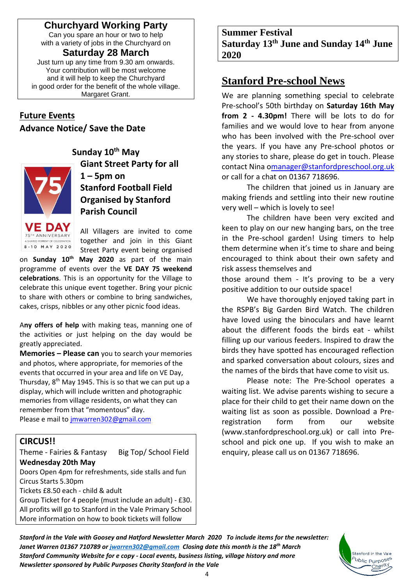# **Churchyard Working Party**

Can you spare an hour or two to help with a variety of jobs in the Churchyard on

**Saturday 28 March** Just turn up any time from 9.30 am onwards. Your contribution will be most welcome and it will help to keep the Churchyard in good order for the benefit of the whole village. Margaret Grant.

## **Future Events**

**Advance Notice/ Save the Date**



**Sunday 10th May Giant Street Party for all**   $1 - 5$ pm on **Stanford Football Field Organised by Stanford Parish Council**

All Villagers are invited to come together and join in this Giant Street Party event being organised

on **Sunday 10th May 2020** as part of the main programme of events over the **VE DAY 75 weekend celebrations**. This is an opportunity for the Village to celebrate this unique event together. Bring your picnic to share with others or combine to bring sandwiches, cakes, crisps, nibbles or any other picnic food ideas.

A**ny offers of help** with making teas, manning one of the activities or just helping on the day would be greatly appreciated.

**Memories – Please can** you to search your memories and photos, where appropriate, for memories of the events that occurred in your area and life on VE Day, Thursday, 8<sup>th</sup> May 1945. This is so that we can put up a display, which will include written and photographic memories from village residents, on what they can remember from that "momentous" day.

Please e mail to [jmwarren302@gmail.com](mailto:jmwarren302@gmail.com)

## **CIRCUS!!**

Theme - Fairies & Fantasy Big Top/ School Field **Wednesday 20th May**

Doors Open 4pm for refreshments, side stalls and fun Circus Starts 5.30pm

Tickets £8.50 each - child & adult

Group Ticket for 4 people (must include an adult) - £30. All profits will go to Stanford in the Vale Primary School More information on how to book tickets will follow

**Summer Festival Saturday 13 th June and Sunday 14 th June 2020**

# **Stanford Pre-school News**

We are planning something special to celebrate Pre-school's 50th birthday on **Saturday 16th May from 2 - 4.30pm!** There will be lots to do for families and we would love to hear from anyone who has been involved with the Pre-school over the years. If you have any Pre-school photos or any stories to share, please do get in touch. Please contact Nina [omanager@stanfordpreschool.org.uk](mailto:manager@stanfordpreschool.org.uk) or call for a chat on 01367 718696.

The children that joined us in January are making friends and settling into their new routine very well – which is lovely to see!

The children have been very excited and keen to play on our new hanging bars, on the tree in the Pre-school garden! Using timers to help them determine when it's time to share and being encouraged to think about their own safety and risk assess themselves and

those around them - It's proving to be a very positive addition to our outside space!

We have thoroughly enjoyed taking part in the RSPB's Big Garden Bird Watch. The children have loved using the binoculars and have learnt about the different foods the birds eat - whilst filling up our various feeders. Inspired to draw the birds they have spotted has encouraged reflection and sparked conversation about colours, sizes and the names of the birds that have come to visit us.

Please note: The Pre-School operates a waiting list. We advise parents wishing to secure a place for their child to get their name down on the waiting list as soon as possible. Download a Preregistration form from our website [\(www.stanfordpreschool.org.uk\)](http://www.stanfordpreschool.org.uk/) or call into Preschool and pick one up. If you wish to make an enquiry, please call us on 01367 718696.

> Stanford in the Vale b<sub>ublic</sub> <sub>Purposes</sub> Charity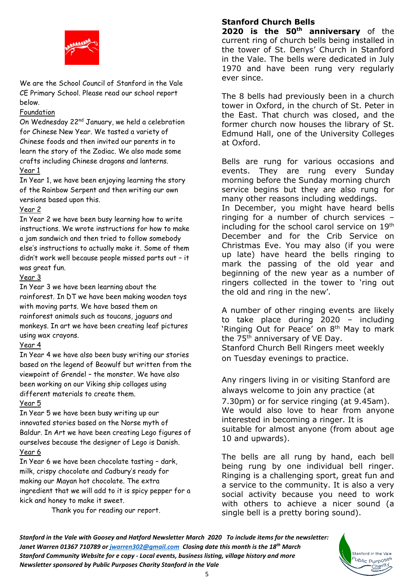

We are the School Council of Stanford in the Vale CE Primary School. Please read our school report below.

#### Foundation

On Wednesday 22nd January, we held a celebration for Chinese New Year. We tasted a variety of Chinese foods and then invited our parents in to learn the story of the Zodiac. We also made some crafts including Chinese dragons and lanterns. Year 1

In Year 1, we have been enjoying learning the story of the Rainbow Serpent and then writing our own versions based upon this.

### Year 2

In Year 2 we have been busy learning how to write instructions. We wrote instructions for how to make a jam sandwich and then tried to follow somebody else's instructions to actually make it. Some of them didn't work well because people missed parts out – it was great fun.

#### Year 3

In Year 3 we have been learning about the rainforest. In DT we have been making wooden toys with moving parts. We have based them on rainforest animals such as toucans, jaguars and monkeys. In art we have been creating leaf pictures using wax crayons.

#### Year 4

In Year 4 we have also been busy writing our stories based on the legend of Beowulf but written from the viewpoint of Grendel – the monster. We have also been working on our Viking ship collages using different materials to create them.

#### Year 5

In Year 5 we have been busy writing up our innovated stories based on the Norse myth of Baldur. In Art we have been creating Lego figures of ourselves because the designer of Lego is Danish. Year 6

In Year 6 we have been chocolate tasting – dark, milk, crispy chocolate and Cadbury's ready for making our Mayan hot chocolate. The extra ingredient that we will add to it is spicy pepper for a kick and honey to make it sweet.

Thank you for reading our report.

### **Stanford Church Bells**

**2020 is the 50th anniversary** of the current ring of church bells being installed in the tower of St. Denys' Church in Stanford in the Vale. The bells were dedicated in July 1970 and have been rung very regularly ever since.

The 8 bells had previously been in a church tower in Oxford, in the church of St. Peter in the East. That church was closed, and the former church now houses the library of St. Edmund Hall, one of the University Colleges at Oxford.

Bells are rung for various occasions and events. They are rung every Sunday morning before the Sunday morning church service begins but they are also rung for many other reasons including weddings. In December, you might have heard bells ringing for a number of church services – including for the school carol service on 19<sup>th</sup> December and for the Crib Service on Christmas Eve. You may also (if you were up late) have heard the bells ringing to mark the passing of the old year and beginning of the new year as a number of ringers collected in the tower to 'ring out the old and ring in the new'.

A number of other ringing events are likely to take place during 2020 – including 'Ringing Out for Peace' on 8<sup>th</sup> May to mark the 75<sup>th</sup> anniversary of VE Day. Stanford Church Bell Ringers meet weekly on Tuesday evenings to practice.

Any ringers living in or visiting Stanford are always welcome to join any practice (at 7.30pm) or for service ringing (at 9.45am). We would also love to hear from anyone interested in becoming a ringer. It is suitable for almost anyone (from about age 10 and upwards).

The bells are all rung by hand, each bell being rung by one individual bell ringer. Ringing is a challenging sport, great fun and a service to the community. It is also a very social activity because you need to work with others to achieve a nicer sound (a single bell is a pretty boring sound).